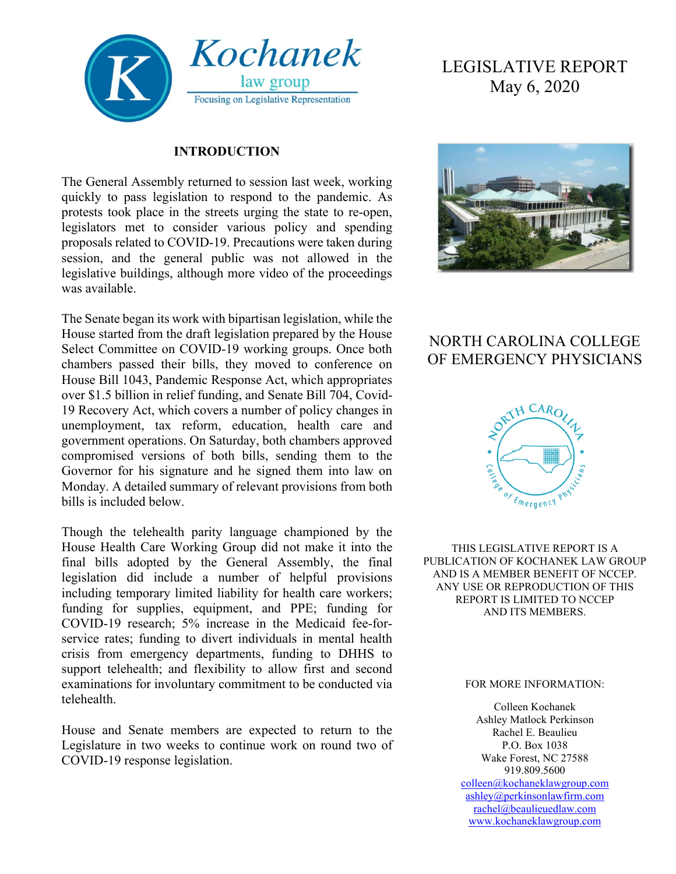

#### **INTRODUCTION**

The General Assembly returned to session last week, working quickly to pass legislation to respond to the pandemic. As protests took place in the streets urging the state to re-open, legislators met to consider various policy and spending proposals related to COVID-19. Precautions were taken during session, and the general public was not allowed in the legislative buildings, although more video of the proceedings was available.

The Senate began its work with bipartisan legislation, while the House started from the draft legislation prepared by the House Select Committee on COVID-19 working groups. Once both chambers passed their bills, they moved to conference on House Bill 1043, Pandemic Response Act, which appropriates over \$1.5 billion in relief funding, and Senate Bill 704, Covid-19 Recovery Act, which covers a number of policy changes in unemployment, tax reform, education, health care and government operations. On Saturday, both chambers approved compromised versions of both bills, sending them to the Governor for his signature and he signed them into law on Monday. A detailed summary of relevant provisions from both bills is included below.

Though the telehealth parity language championed by the House Health Care Working Group did not make it into the final bills adopted by the General Assembly, the final legislation did include a number of helpful provisions including temporary limited liability for health care workers; funding for supplies, equipment, and PPE; funding for COVID-19 research; 5% increase in the Medicaid fee-forservice rates; funding to divert individuals in mental health crisis from emergency departments, funding to DHHS to support telehealth; and flexibility to allow first and second examinations for involuntary commitment to be conducted via telehealth.

House and Senate members are expected to return to the Legislature in two weeks to continue work on round two of COVID-19 response legislation.

# LEGISLATIVE REPORT May 6, 2020



## NORTH CAROLINA COLLEGE OF EMERGENCY PHYSICIANS



THIS LEGISLATIVE REPORT IS A PUBLICATION OF KOCHANEK LAW GROUP AND IS A MEMBER BENEFIT OF NCCEP. ANY USE OR REPRODUCTION OF THIS REPORT IS LIMITED TO NCCEP AND ITS MEMBERS.

#### FOR MORE INFORMATION:

Colleen Kochanek Ashley Matlock Perkinson Rachel E. Beaulieu P.O. Box 1038 Wake Forest, NC 27588 919.809.5600 [colleen@kochaneklawgroup.com](mailto:colleen@kochaneklawgroup.com) [ashley@perkinsonlawfirm.com](mailto:ashley@perkinsonlawfirm.com) [rachel@beaulieuedlaw.com](mailto:rachel@beaulieuedlaw.com) [www.kochaneklawgroup.com](http://www.kochaneklawgroup.com/)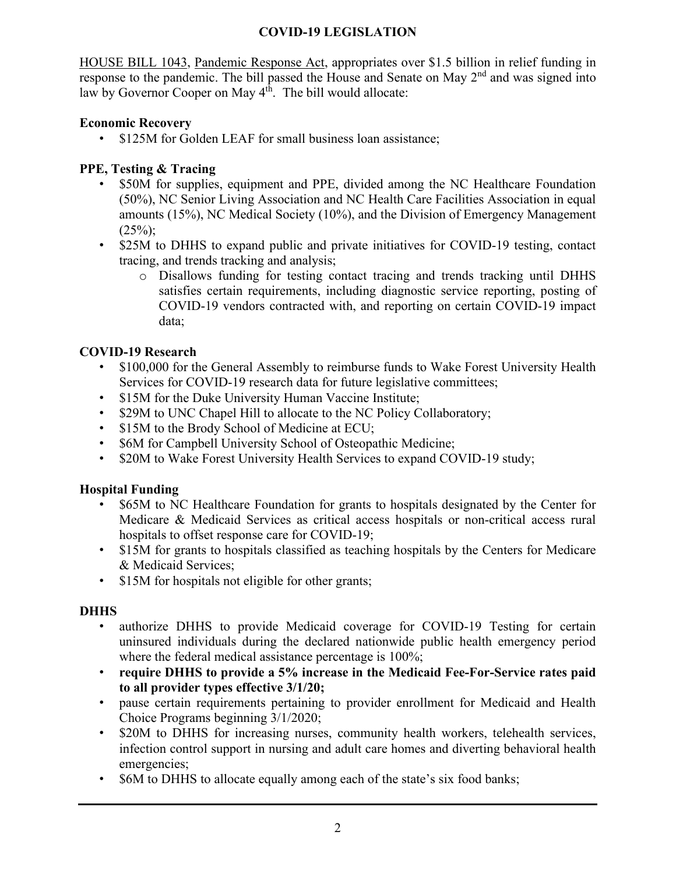#### **COVID-19 LEGISLATION**

HOUSE BILL 1043, Pandemic Response Act, appropriates over \$1.5 billion in relief funding in response to the pandemic. The bill passed the House and Senate on May  $2<sup>nd</sup>$  and was signed into law by Governor Cooper on May  $4<sup>th</sup>$ . The bill would allocate:

#### **Economic Recovery**

\$125M for Golden LEAF for small business loan assistance;

#### **PPE, Testing & Tracing**

- \$50M for supplies, equipment and PPE, divided among the NC Healthcare Foundation (50%), NC Senior Living Association and NC Health Care Facilities Association in equal amounts (15%), NC Medical Society (10%), and the Division of Emergency Management  $(25\%)$ ;
- \$25M to DHHS to expand public and private initiatives for COVID-19 testing, contact tracing, and trends tracking and analysis;
	- o Disallows funding for testing contact tracing and trends tracking until DHHS satisfies certain requirements, including diagnostic service reporting, posting of COVID-19 vendors contracted with, and reporting on certain COVID-19 impact data;

#### **COVID-19 Research**

- \$100,000 for the General Assembly to reimburse funds to Wake Forest University Health Services for COVID-19 research data for future legislative committees;
- \$15M for the Duke University Human Vaccine Institute;
- \$29M to UNC Chapel Hill to allocate to the NC Policy Collaboratory;
- \$15M to the Brody School of Medicine at ECU;
- \$6M for Campbell University School of Osteopathic Medicine;
- \$20M to Wake Forest University Health Services to expand COVID-19 study;

#### **Hospital Funding**

- \$65M to NC Healthcare Foundation for grants to hospitals designated by the Center for Medicare & Medicaid Services as critical access hospitals or non-critical access rural hospitals to offset response care for COVID-19;
- \$15M for grants to hospitals classified as teaching hospitals by the Centers for Medicare & Medicaid Services;
- \$15M for hospitals not eligible for other grants;

#### **DHHS**

- authorize DHHS to provide Medicaid coverage for COVID-19 Testing for certain uninsured individuals during the declared nationwide public health emergency period where the federal medical assistance percentage is 100%;
- **require DHHS to provide a 5% increase in the Medicaid Fee-For-Service rates paid to all provider types effective 3/1/20;**
- pause certain requirements pertaining to provider enrollment for Medicaid and Health Choice Programs beginning 3/1/2020;
- \$20M to DHHS for increasing nurses, community health workers, telehealth services, infection control support in nursing and adult care homes and diverting behavioral health emergencies;
- \$6M to DHHS to allocate equally among each of the state's six food banks;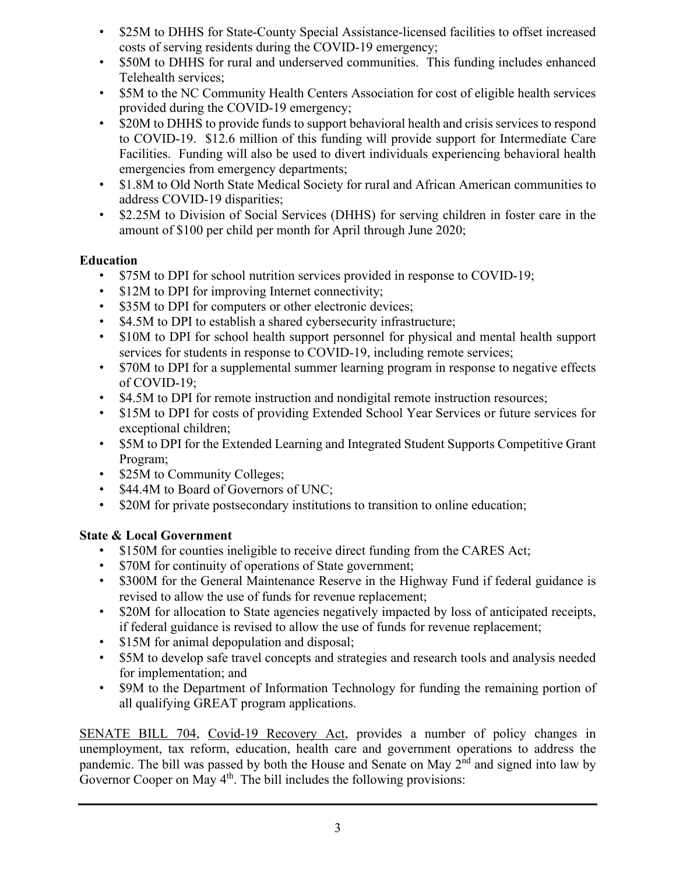- \$25M to DHHS for State-County Special Assistance-licensed facilities to offset increased costs of serving residents during the COVID-19 emergency;
- \$50M to DHHS for rural and underserved communities. This funding includes enhanced Telehealth services;
- \$5M to the NC Community Health Centers Association for cost of eligible health services provided during the COVID-19 emergency;
- \$20M to DHHS to provide funds to support behavioral health and crisis services to respond to COVID-19. \$12.6 million of this funding will provide support for Intermediate Care Facilities. Funding will also be used to divert individuals experiencing behavioral health emergencies from emergency departments;
- \$1.8M to Old North State Medical Society for rural and African American communities to address COVID-19 disparities;
- \$2.25M to Division of Social Services (DHHS) for serving children in foster care in the amount of \$100 per child per month for April through June 2020;

#### **Education**

- \$75M to DPI for school nutrition services provided in response to COVID-19;
- \$12M to DPI for improving Internet connectivity;
- \$35M to DPI for computers or other electronic devices;
- \$4.5M to DPI to establish a shared cybersecurity infrastructure;
- \$10M to DPI for school health support personnel for physical and mental health support services for students in response to COVID-19, including remote services;
- \$70M to DPI for a supplemental summer learning program in response to negative effects of COVID-19;
- \$4.5M to DPI for remote instruction and nondigital remote instruction resources;
- \$15M to DPI for costs of providing Extended School Year Services or future services for exceptional children;
- \$5M to DPI for the Extended Learning and Integrated Student Supports Competitive Grant Program;
- \$25M to Community Colleges;
- \$44.4M to Board of Governors of UNC;
- \$20M for private postsecondary institutions to transition to online education;

### **State & Local Government**

- \$150M for counties ineligible to receive direct funding from the CARES Act;
- \$70M for continuity of operations of State government;
- \$300M for the General Maintenance Reserve in the Highway Fund if federal guidance is revised to allow the use of funds for revenue replacement;
- \$20M for allocation to State agencies negatively impacted by loss of anticipated receipts, if federal guidance is revised to allow the use of funds for revenue replacement;
- \$15M for animal depopulation and disposal;
- \$5M to develop safe travel concepts and strategies and research tools and analysis needed for implementation; and
- \$9M to the Department of Information Technology for funding the remaining portion of all qualifying GREAT program applications.

SENATE BILL 704, Covid-19 Recovery Act, provides a number of policy changes in unemployment, tax reform, education, health care and government operations to address the pandemic. The bill was passed by both the House and Senate on May 2<sup>nd</sup> and signed into law by Governor Cooper on May 4<sup>th</sup>. The bill includes the following provisions: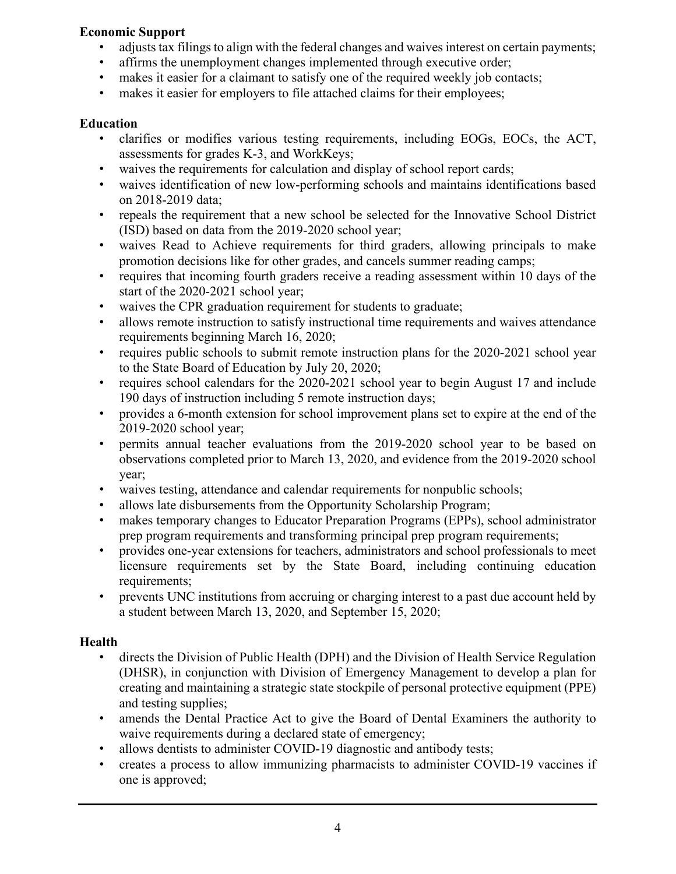#### **Economic Support**

- adjusts tax filings to align with the federal changes and waives interest on certain payments;
- affirms the unemployment changes implemented through executive order;
- makes it easier for a claimant to satisfy one of the required weekly job contacts;
- makes it easier for employers to file attached claims for their employees;

#### **Education**

- clarifies or modifies various testing requirements, including EOGs, EOCs, the ACT, assessments for grades K-3, and WorkKeys;
- waives the requirements for calculation and display of school report cards;
- waives identification of new low-performing schools and maintains identifications based on 2018-2019 data;
- repeals the requirement that a new school be selected for the Innovative School District (ISD) based on data from the 2019-2020 school year;
- waives Read to Achieve requirements for third graders, allowing principals to make promotion decisions like for other grades, and cancels summer reading camps;
- requires that incoming fourth graders receive a reading assessment within 10 days of the start of the 2020-2021 school year;
- waives the CPR graduation requirement for students to graduate;
- allows remote instruction to satisfy instructional time requirements and waives attendance requirements beginning March 16, 2020;
- requires public schools to submit remote instruction plans for the 2020-2021 school year to the State Board of Education by July 20, 2020;
- requires school calendars for the 2020-2021 school year to begin August 17 and include 190 days of instruction including 5 remote instruction days;
- provides a 6-month extension for school improvement plans set to expire at the end of the 2019-2020 school year;
- permits annual teacher evaluations from the 2019-2020 school year to be based on observations completed prior to March 13, 2020, and evidence from the 2019-2020 school year;
- waives testing, attendance and calendar requirements for nonpublic schools;
- allows late disbursements from the Opportunity Scholarship Program;
- makes temporary changes to Educator Preparation Programs (EPPs), school administrator prep program requirements and transforming principal prep program requirements;
- provides one-year extensions for teachers, administrators and school professionals to meet licensure requirements set by the State Board, including continuing education requirements;
- prevents UNC institutions from accruing or charging interest to a past due account held by a student between March 13, 2020, and September 15, 2020;

#### **Health**

- directs the Division of Public Health (DPH) and the Division of Health Service Regulation (DHSR), in conjunction with Division of Emergency Management to develop a plan for creating and maintaining a strategic state stockpile of personal protective equipment (PPE) and testing supplies;
- amends the Dental Practice Act to give the Board of Dental Examiners the authority to waive requirements during a declared state of emergency;
- allows dentists to administer COVID-19 diagnostic and antibody tests;
- creates a process to allow immunizing pharmacists to administer COVID-19 vaccines if one is approved;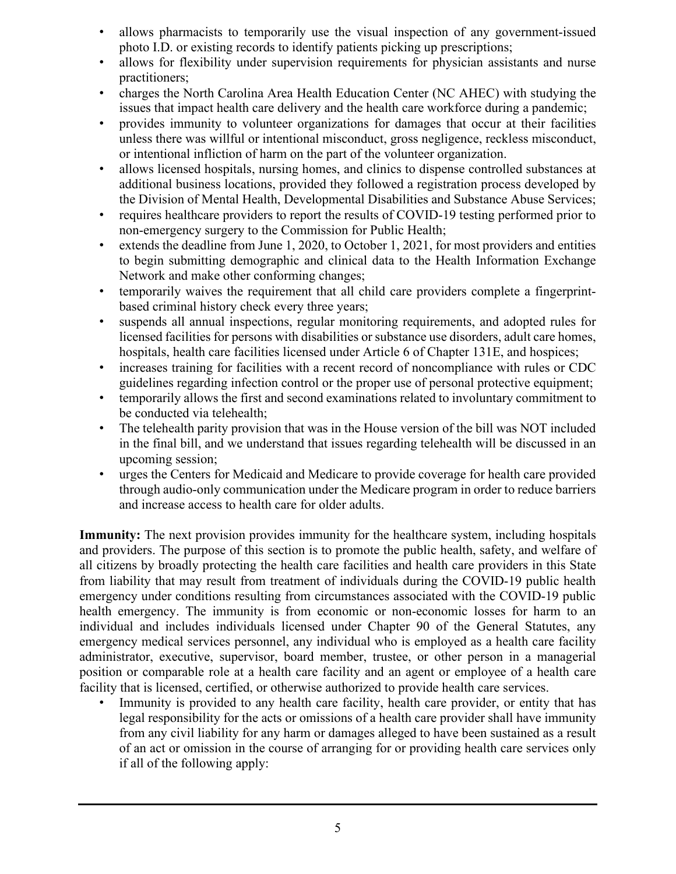- allows pharmacists to temporarily use the visual inspection of any government-issued photo I.D. or existing records to identify patients picking up prescriptions;
- allows for flexibility under supervision requirements for physician assistants and nurse practitioners;
- charges the North Carolina Area Health Education Center (NC AHEC) with studying the issues that impact health care delivery and the health care workforce during a pandemic;
- provides immunity to volunteer organizations for damages that occur at their facilities unless there was willful or intentional misconduct, gross negligence, reckless misconduct, or intentional infliction of harm on the part of the volunteer organization.
- allows licensed hospitals, nursing homes, and clinics to dispense controlled substances at additional business locations, provided they followed a registration process developed by the Division of Mental Health, Developmental Disabilities and Substance Abuse Services;
- requires healthcare providers to report the results of COVID-19 testing performed prior to non-emergency surgery to the Commission for Public Health;
- extends the deadline from June 1, 2020, to October 1, 2021, for most providers and entities to begin submitting demographic and clinical data to the Health Information Exchange Network and make other conforming changes;
- temporarily waives the requirement that all child care providers complete a fingerprintbased criminal history check every three years;
- suspends all annual inspections, regular monitoring requirements, and adopted rules for licensed facilities for persons with disabilities or substance use disorders, adult care homes, hospitals, health care facilities licensed under Article 6 of Chapter 131E, and hospices;
- increases training for facilities with a recent record of noncompliance with rules or CDC guidelines regarding infection control or the proper use of personal protective equipment;
- temporarily allows the first and second examinations related to involuntary commitment to be conducted via telehealth;
- The telehealth parity provision that was in the House version of the bill was NOT included in the final bill, and we understand that issues regarding telehealth will be discussed in an upcoming session;
- urges the Centers for Medicaid and Medicare to provide coverage for health care provided through audio-only communication under the Medicare program in order to reduce barriers and increase access to health care for older adults.

**Immunity:** The next provision provides immunity for the healthcare system, including hospitals and providers. The purpose of this section is to promote the public health, safety, and welfare of all citizens by broadly protecting the health care facilities and health care providers in this State from liability that may result from treatment of individuals during the COVID-19 public health emergency under conditions resulting from circumstances associated with the COVID-19 public health emergency. The immunity is from economic or non-economic losses for harm to an individual and includes individuals licensed under Chapter 90 of the General Statutes, any emergency medical services personnel, any individual who is employed as a health care facility administrator, executive, supervisor, board member, trustee, or other person in a managerial position or comparable role at a health care facility and an agent or employee of a health care facility that is licensed, certified, or otherwise authorized to provide health care services.

Immunity is provided to any health care facility, health care provider, or entity that has legal responsibility for the acts or omissions of a health care provider shall have immunity from any civil liability for any harm or damages alleged to have been sustained as a result of an act or omission in the course of arranging for or providing health care services only if all of the following apply: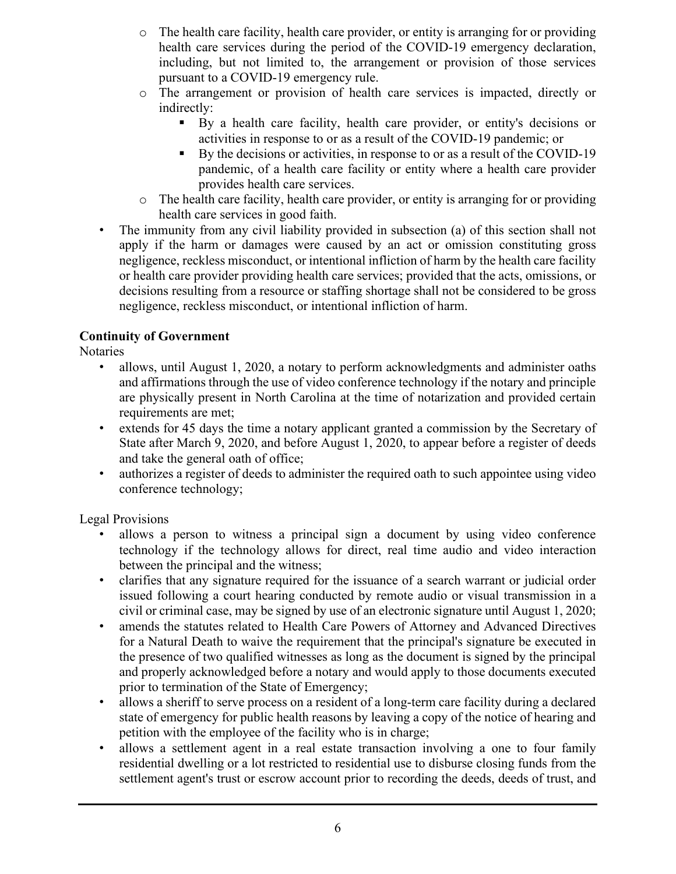- $\circ$  The health care facility, health care provider, or entity is arranging for or providing health care services during the period of the COVID-19 emergency declaration, including, but not limited to, the arrangement or provision of those services pursuant to a COVID-19 emergency rule.
- o The arrangement or provision of health care services is impacted, directly or indirectly:
	- By a health care facility, health care provider, or entity's decisions or activities in response to or as a result of the COVID-19 pandemic; or
	- By the decisions or activities, in response to or as a result of the COVID-19 pandemic, of a health care facility or entity where a health care provider provides health care services.
- o The health care facility, health care provider, or entity is arranging for or providing health care services in good faith.
- The immunity from any civil liability provided in subsection (a) of this section shall not apply if the harm or damages were caused by an act or omission constituting gross negligence, reckless misconduct, or intentional infliction of harm by the health care facility or health care provider providing health care services; provided that the acts, omissions, or decisions resulting from a resource or staffing shortage shall not be considered to be gross negligence, reckless misconduct, or intentional infliction of harm.

### **Continuity of Government**

Notaries

- allows, until August 1, 2020, a notary to perform acknowledgments and administer oaths and affirmations through the use of video conference technology if the notary and principle are physically present in North Carolina at the time of notarization and provided certain requirements are met;
- extends for 45 days the time a notary applicant granted a commission by the Secretary of State after March 9, 2020, and before August 1, 2020, to appear before a register of deeds and take the general oath of office;
- authorizes a register of deeds to administer the required oath to such appointee using video conference technology;

Legal Provisions

- allows a person to witness a principal sign a document by using video conference technology if the technology allows for direct, real time audio and video interaction between the principal and the witness;
- clarifies that any signature required for the issuance of a search warrant or judicial order issued following a court hearing conducted by remote audio or visual transmission in a civil or criminal case, may be signed by use of an electronic signature until August 1, 2020;
- amends the statutes related to Health Care Powers of Attorney and Advanced Directives for a Natural Death to waive the requirement that the principal's signature be executed in the presence of two qualified witnesses as long as the document is signed by the principal and properly acknowledged before a notary and would apply to those documents executed prior to termination of the State of Emergency;
- allows a sheriff to serve process on a resident of a long-term care facility during a declared state of emergency for public health reasons by leaving a copy of the notice of hearing and petition with the employee of the facility who is in charge;
- allows a settlement agent in a real estate transaction involving a one to four family residential dwelling or a lot restricted to residential use to disburse closing funds from the settlement agent's trust or escrow account prior to recording the deeds, deeds of trust, and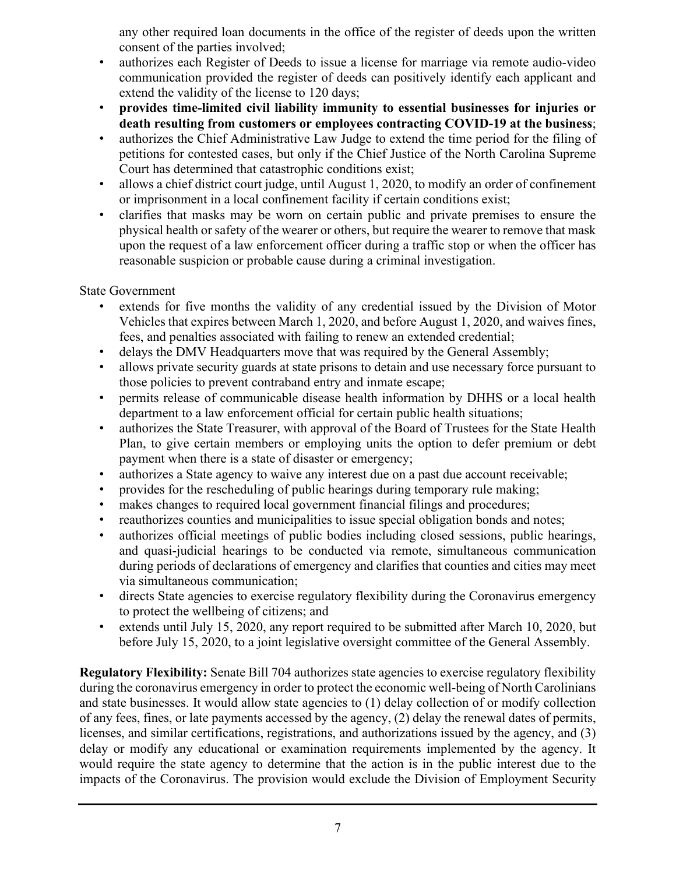any other required loan documents in the office of the register of deeds upon the written consent of the parties involved;

- authorizes each Register of Deeds to issue a license for marriage via remote audio-video communication provided the register of deeds can positively identify each applicant and extend the validity of the license to 120 days;
- **provides time-limited civil liability immunity to essential businesses for injuries or death resulting from customers or employees contracting COVID-19 at the business**;
- authorizes the Chief Administrative Law Judge to extend the time period for the filing of petitions for contested cases, but only if the Chief Justice of the North Carolina Supreme Court has determined that catastrophic conditions exist;
- allows a chief district court judge, until August 1, 2020, to modify an order of confinement or imprisonment in a local confinement facility if certain conditions exist;
- clarifies that masks may be worn on certain public and private premises to ensure the physical health or safety of the wearer or others, but require the wearer to remove that mask upon the request of a law enforcement officer during a traffic stop or when the officer has reasonable suspicion or probable cause during a criminal investigation.

#### State Government

- extends for five months the validity of any credential issued by the Division of Motor Vehicles that expires between March 1, 2020, and before August 1, 2020, and waives fines, fees, and penalties associated with failing to renew an extended credential;
- delays the DMV Headquarters move that was required by the General Assembly;
- allows private security guards at state prisons to detain and use necessary force pursuant to those policies to prevent contraband entry and inmate escape;
- permits release of communicable disease health information by DHHS or a local health department to a law enforcement official for certain public health situations;
- authorizes the State Treasurer, with approval of the Board of Trustees for the State Health Plan, to give certain members or employing units the option to defer premium or debt payment when there is a state of disaster or emergency;
- authorizes a State agency to waive any interest due on a past due account receivable;
- provides for the rescheduling of public hearings during temporary rule making;
- makes changes to required local government financial filings and procedures;
- reauthorizes counties and municipalities to issue special obligation bonds and notes;
- authorizes official meetings of public bodies including closed sessions, public hearings, and quasi-judicial hearings to be conducted via remote, simultaneous communication during periods of declarations of emergency and clarifies that counties and cities may meet via simultaneous communication;
- directs State agencies to exercise regulatory flexibility during the Coronavirus emergency to protect the wellbeing of citizens; and
- extends until July 15, 2020, any report required to be submitted after March 10, 2020, but before July 15, 2020, to a joint legislative oversight committee of the General Assembly.

**Regulatory Flexibility:** Senate Bill 704 authorizes state agencies to exercise regulatory flexibility during the coronavirus emergency in order to protect the economic well-being of North Carolinians and state businesses. It would allow state agencies to (1) delay collection of or modify collection of any fees, fines, or late payments accessed by the agency, (2) delay the renewal dates of permits, licenses, and similar certifications, registrations, and authorizations issued by the agency, and (3) delay or modify any educational or examination requirements implemented by the agency. It would require the state agency to determine that the action is in the public interest due to the impacts of the Coronavirus. The provision would exclude the Division of Employment Security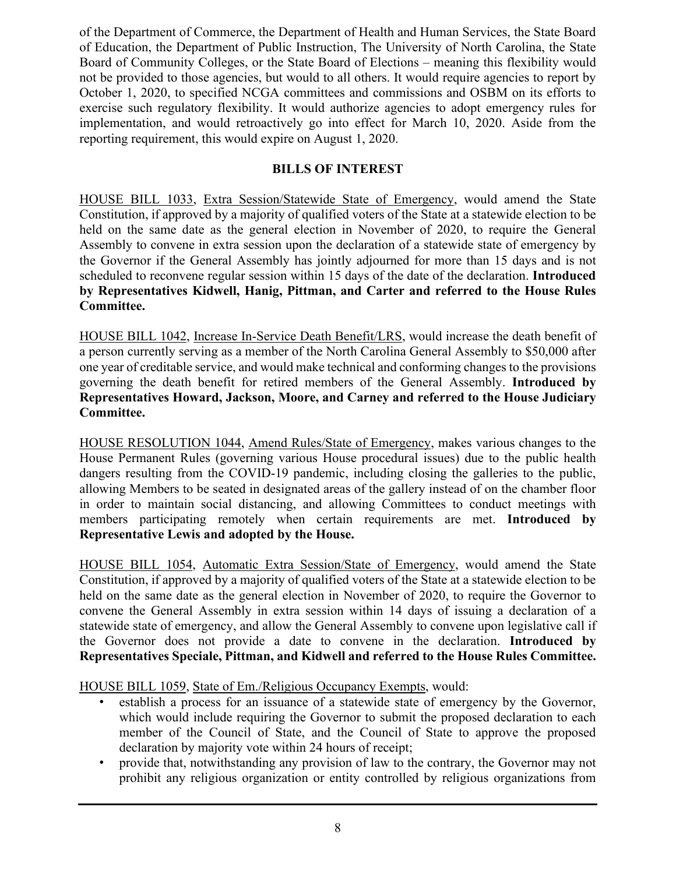of the Department of Commerce, the Department of Health and Human Services, the State Board of Education, the Department of Public Instruction, The University of North Carolina, the State Board of Community Colleges, or the State Board of Elections – meaning this flexibility would not be provided to those agencies, but would to all others. It would require agencies to report by October 1, 2020, to specified NCGA committees and commissions and OSBM on its efforts to exercise such regulatory flexibility. It would authorize agencies to adopt emergency rules for implementation, and would retroactively go into effect for March 10, 2020. Aside from the reporting requirement, this would expire on August 1, 2020.

#### **BILLS OF INTEREST**

HOUSE BILL 1033, Extra Session/Statewide State of Emergency, would amend the State Constitution, if approved by a majority of qualified voters of the State at a statewide election to be held on the same date as the general election in November of 2020, to require the General Assembly to convene in extra session upon the declaration of a statewide state of emergency by the Governor if the General Assembly has jointly adjourned for more than 15 days and is not scheduled to reconvene regular session within 15 days of the date of the declaration. **Introduced by Representatives Kidwell, Hanig, Pittman, and Carter and referred to the House Rules Committee.**

HOUSE BILL 1042, Increase In-Service Death Benefit/LRS, would increase the death benefit of a person currently serving as a member of the North Carolina General Assembly to \$50,000 after one year of creditable service, and would make technical and conforming changes to the provisions governing the death benefit for retired members of the General Assembly. **Introduced by Representatives Howard, Jackson, Moore, and Carney and referred to the House Judiciary Committee.**

HOUSE RESOLUTION 1044, Amend Rules/State of Emergency, makes various changes to the House Permanent Rules (governing various House procedural issues) due to the public health dangers resulting from the COVID-19 pandemic, including closing the galleries to the public, allowing Members to be seated in designated areas of the gallery instead of on the chamber floor in order to maintain social distancing, and allowing Committees to conduct meetings with members participating remotely when certain requirements are met. **Introduced by Representative Lewis and adopted by the House.**

HOUSE BILL 1054, Automatic Extra Session/State of Emergency, would amend the State Constitution, if approved by a majority of qualified voters of the State at a statewide election to be held on the same date as the general election in November of 2020, to require the Governor to convene the General Assembly in extra session within 14 days of issuing a declaration of a statewide state of emergency, and allow the General Assembly to convene upon legislative call if the Governor does not provide a date to convene in the declaration. **Introduced by Representatives Speciale, Pittman, and Kidwell and referred to the House Rules Committee.**

HOUSE BILL 1059, State of Em./Religious Occupancy Exempts, would:

- establish a process for an issuance of a statewide state of emergency by the Governor, which would include requiring the Governor to submit the proposed declaration to each member of the Council of State, and the Council of State to approve the proposed declaration by majority vote within 24 hours of receipt;
- provide that, notwithstanding any provision of law to the contrary, the Governor may not prohibit any religious organization or entity controlled by religious organizations from